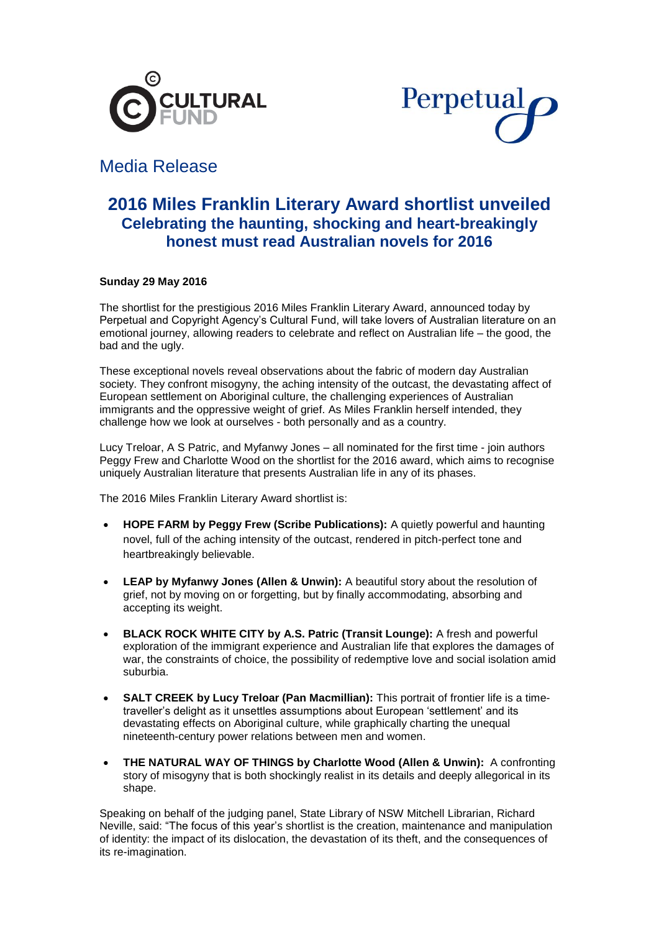



# Media Release

## **2016 Miles Franklin Literary Award shortlist unveiled Celebrating the haunting, shocking and heart-breakingly honest must read Australian novels for 2016**

## **Sunday 29 May 2016**

The shortlist for the prestigious 2016 Miles Franklin Literary Award, announced today by Perpetual and Copyright Agency's Cultural Fund, will take lovers of Australian literature on an emotional journey, allowing readers to celebrate and reflect on Australian life – the good, the bad and the ugly.

These exceptional novels reveal observations about the fabric of modern day Australian society. They confront misogyny, the aching intensity of the outcast, the devastating affect of European settlement on Aboriginal culture, the challenging experiences of Australian immigrants and the oppressive weight of grief. As Miles Franklin herself intended, they challenge how we look at ourselves - both personally and as a country.

Lucy Treloar, A S Patric, and Myfanwy Jones – all nominated for the first time - join authors Peggy Frew and Charlotte Wood on the shortlist for the 2016 award, which aims to recognise uniquely Australian literature that presents Australian life in any of its phases.

The 2016 Miles Franklin Literary Award shortlist is:

- **HOPE FARM by Peggy Frew (Scribe Publications):** A quietly powerful and haunting novel, full of the aching intensity of the outcast, rendered in pitch-perfect tone and heartbreakingly believable.
- **LEAP by Myfanwy Jones (Allen & Unwin):** A beautiful story about the resolution of grief, not by moving on or forgetting, but by finally accommodating, absorbing and accepting its weight.
- **BLACK ROCK WHITE CITY by A.S. Patric (Transit Lounge):** A fresh and powerful exploration of the immigrant experience and Australian life that explores the damages of war, the constraints of choice, the possibility of redemptive love and social isolation amid suburbia.
- **SALT CREEK by Lucy Treloar (Pan Macmillian):** This portrait of frontier life is a timetraveller's delight as it unsettles assumptions about European 'settlement' and its devastating effects on Aboriginal culture, while graphically charting the unequal nineteenth-century power relations between men and women.
- **THE NATURAL WAY OF THINGS by Charlotte Wood (Allen & Unwin):** A confronting story of misogyny that is both shockingly realist in its details and deeply allegorical in its shape.

Speaking on behalf of the judging panel, State Library of NSW Mitchell Librarian, Richard Neville, said: "The focus of this year's shortlist is the creation, maintenance and manipulation of identity: the impact of its dislocation, the devastation of its theft, and the consequences of its re-imagination.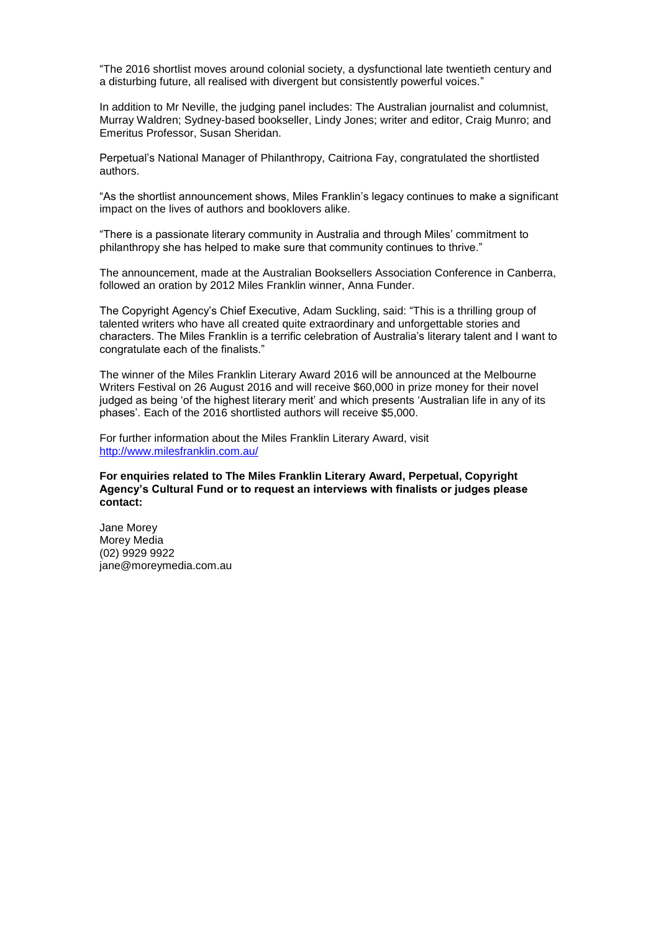"The 2016 shortlist moves around colonial society, a dysfunctional late twentieth century and a disturbing future, all realised with divergent but consistently powerful voices."

In addition to Mr Neville, the judging panel includes: The Australian journalist and columnist, Murray Waldren; Sydney-based bookseller, Lindy Jones; writer and editor, Craig Munro; and Emeritus Professor, Susan Sheridan.

Perpetual's National Manager of Philanthropy, Caitriona Fay, congratulated the shortlisted authors.

"As the shortlist announcement shows, Miles Franklin's legacy continues to make a significant impact on the lives of authors and booklovers alike.

"There is a passionate literary community in Australia and through Miles' commitment to philanthropy she has helped to make sure that community continues to thrive."

The announcement, made at the Australian Booksellers Association Conference in Canberra, followed an oration by 2012 Miles Franklin winner, Anna Funder.

The Copyright Agency's Chief Executive, Adam Suckling, said: "This is a thrilling group of talented writers who have all created quite extraordinary and unforgettable stories and characters. The Miles Franklin is a terrific celebration of Australia's literary talent and I want to congratulate each of the finalists."

The winner of the Miles Franklin Literary Award 2016 will be announced at the Melbourne Writers Festival on 26 August 2016 and will receive \$60,000 in prize money for their novel judged as being 'of the highest literary merit' and which presents 'Australian life in any of its phases'. Each of the 2016 shortlisted authors will receive \$5,000.

For further information about the Miles Franklin Literary Award, visit <http://www.milesfranklin.com.au/>

## **For enquiries related to The Miles Franklin Literary Award, Perpetual, Copyright Agency's Cultural Fund or to request an interviews with finalists or judges please contact:**

Jane Morey Morey Media (02) 9929 9922 jane@moreymedia.com.au